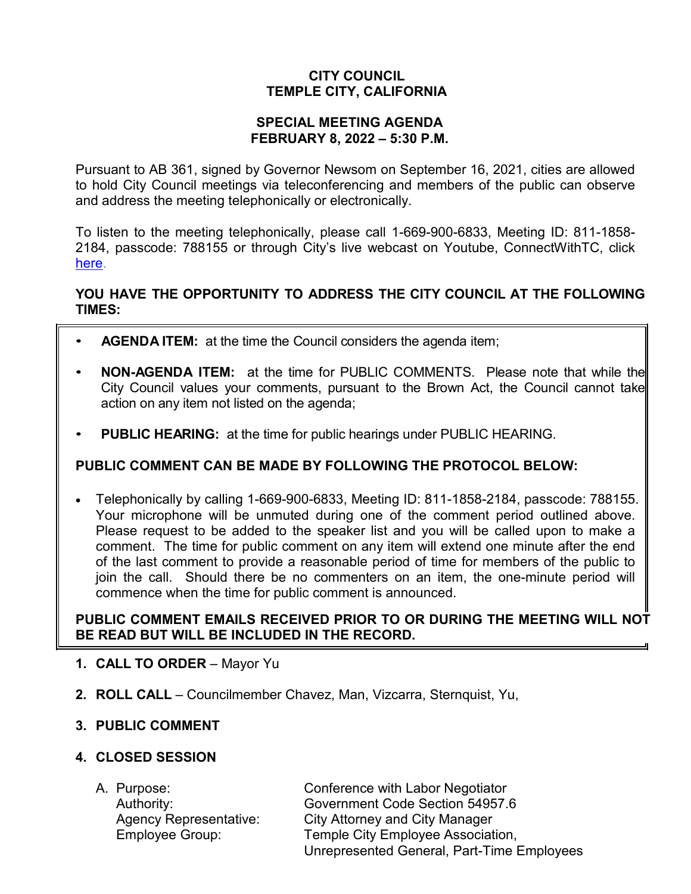# **CITY COUNCIL TEMPLE CITY, CALIFORNIA**

#### **SPECIAL MEETING AGENDA FEBRUARY 8, 2022 – 5:30 P.M.**

Pursuant to AB 361, signed by Governor Newsom on September 16, 2021, cities are allowed to hold City Council meetings via teleconferencing and members of the public can observe and address the meeting telephonically or electronically.

To listen to the meeting telephonically, please call 1-669-900-6833, Meeting ID: 811-1858- 2184, passcode: 788155 or through City's live webcast on Youtube, ConnectWithTC, click [here.](https://www.ci.temple-city.ca.us/516/Meeting-Webcast)

## **YOU HAVE THE OPPORTUNITY TO ADDRESS THE CITY COUNCIL AT THE FOLLOWING TIMES:**

- **AGENDA ITEM:** at the time the Council considers the agenda item;
- **NON-AGENDA ITEM:** at the time for PUBLIC COMMENTS. Please note that while the City Council values your comments, pursuant to the Brown Act, the Council cannot take action on any item not listed on the agenda;
- **PUBLIC HEARING:** at the time for public hearings under PUBLIC HEARING.

# **PUBLIC COMMENT CAN BE MADE BY FOLLOWING THE PROTOCOL BELOW:**

• Telephonically by calling 1-669-900-6833, Meeting ID: 811-1858-2184, passcode: 788155. Your microphone will be unmuted during one of the comment period outlined above. Please request to be added to the speaker list and you will be called upon to make a comment. The time for public comment on any item will extend one minute after the end of the last comment to provide a reasonable period of time for members of the public to join the call. Should there be no commenters on an item, the one-minute period will commence when the time for public comment is announced.

## **PUBLIC COMMENT EMAILS RECEIVED PRIOR TO OR DURING THE MEETING WILL NOT BE READ BUT WILL BE INCLUDED IN THE RECORD.**

- **1. CALL TO ORDER**  Mayor Yu
- **2. ROLL CALL**  Councilmember Chavez, Man, Vizcarra, Sternquist, Yu,

### **3. PUBLIC COMMENT**

### **4. CLOSED SESSION**

| A. Purpose:                   | Conference with Labor Negotiator           |
|-------------------------------|--------------------------------------------|
| Authority:                    | Government Code Section 54957.6            |
| <b>Agency Representative:</b> | <b>City Attorney and City Manager</b>      |
| <b>Employee Group:</b>        | Temple City Employee Association,          |
|                               | Unrepresented General, Part-Time Employees |